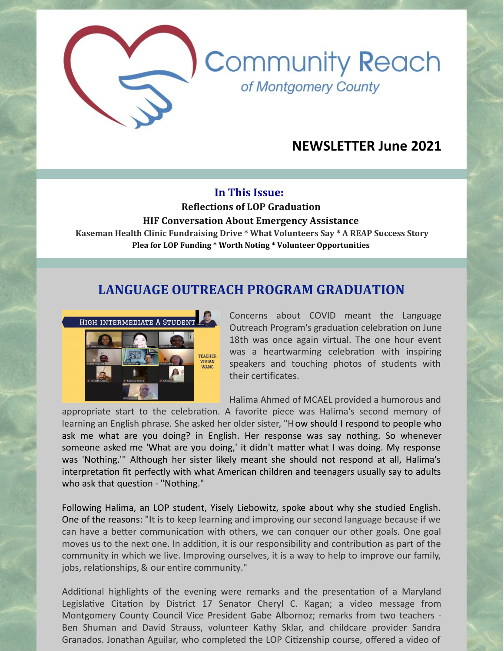# **NEWSLETTER June 2021**

**Community Reach** 

of Montgomery County

#### **In This Issue:**

**Reflections of LOP Graduation**

**HIF Conversation About Emergency Assistance Kaseman Health Clinic Fundraising Drive \* What Volunteers Say \* A REAP Success Story Plea for LOP Funding \* Worth Noting \* Volunteer Opportunities**

#### **LANGUAGE OUTREACH PROGRAM GRADUATION**



Concerns about COVID meant the Language Outreach Program's graduation celebration on June 18th was once again virtual. The one hour event was a heartwarming celebration with inspiring speakers and touching photos of students with their certificates.

Halima Ahmed of MCAEL provided a humorous and

appropriate start to the celebration. A favorite piece was Halima's second memory of learning an English phrase. She asked her older sister, "How should I respond to people who ask me what are you doing? in English. Her response was say nothing. So whenever someone asked me 'What are you doing,' it didn't matter what I was doing. My response was 'Nothing.'" Although her sister likely meant she should not respond at all, Halima's interpretation fit perfectly with what American children and teenagers usually say to adults who ask that question - "Nothing."

Following Halima, an LOP student, Yisely Liebowitz, spoke about why she studied English. One of the reasons: "It is to keep learning and improving our second language because if we can have a better communication with others, we can conquer our other goals. One goal moves us to the next one. In addition, it is our responsibility and contribution as part of the community in which we live. Improving ourselves, it is a way to help to improve our family, jobs, relationships, & our entire community."

Additional highlights of the evening were remarks and the presentation of a Maryland Legislative Citation by District 17 Senator Cheryl C. Kagan; a video message from Montgomery County Council Vice President Gabe Albornoz; remarks from two teachers - Ben Shuman and David Strauss, volunteer Kathy Sklar, and childcare provider Sandra Granados. Jonathan Aguilar, who completed the LOP Citizenship course, offered a video of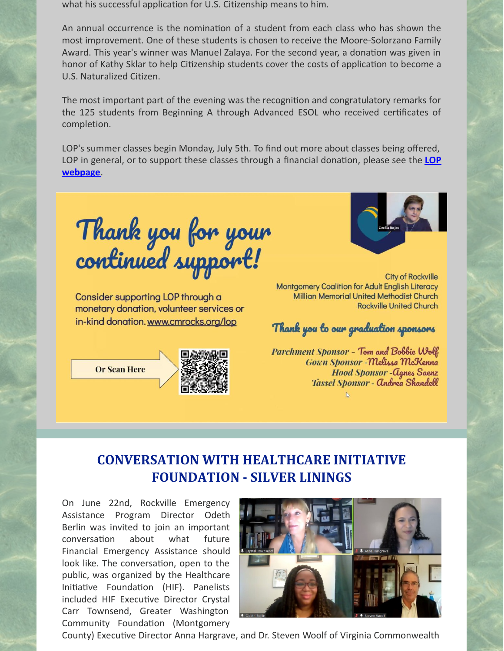what his successful application for U.S. Citizenship means to him.

An annual occurrence is the nomination of a student from each class who has shown the most improvement. One of these students is chosen to receive the Moore-Solorzano Family Award. This year's winner was Manuel Zalaya. For the second year, a donation was given in honor of Kathy Sklar to help Citizenship students cover the costs of application to become a U.S. Naturalized Citizen.

The most important part of the evening was the recognition and congratulatory remarks for the 125 students from Beginning A through Advanced ESOL who received certificates of completion.

LOP's summer classes begin Monday, July 5th. To find out more about classes being offered, LOP in general, or to support these classes through a financial donation, please see the LOP **webpage**.

Thank you for your<br>continued support!

Consider supporting LOP through a monetary donation, volunteer services or in-kind donation. www.cmrocks.org/lop







**City of Rockville** Montgomery Coalition for Adult English Literacy **Millian Memorial United Methodist Church Rockville United Church** 

Thank you to our graduation sponsors

Parchment Sponsor - Tom and Bobbie Wolf Gown Sponsor - Melissa McKenna **Hood Sponsor - Agnes Saenz** Tassel Sponsor - Andrea Shandell

# **CONVERSATION WITH HEALTHCARE INITIATIVE FOUNDATION - SILVER LININGS**

On June 22nd, Rockville Emergency Assistance Program Director Odeth Berlin was invited to join an important conversation about what future Financial Emergency Assistance should look like. The conversation, open to the public, was organized by the Healthcare Initiative Foundation (HIF). Panelists included HIF Executive Director Crystal Carr Townsend, Greater Washington Community Foundation (Montgomery



County) Executive Director Anna Hargrave, and Dr. Steven Woolf of Virginia Commonwealth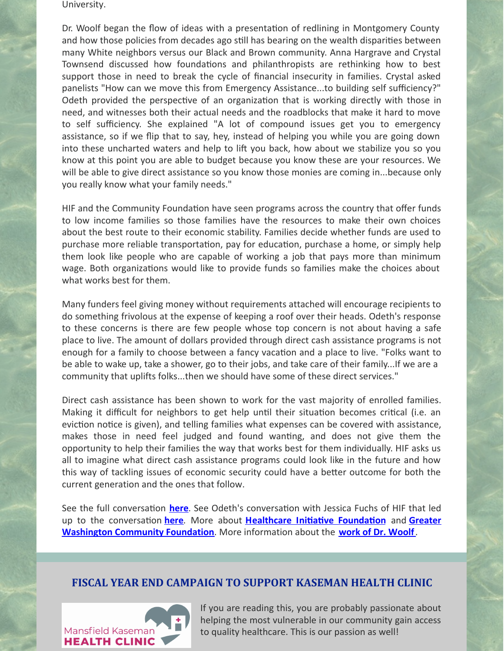University.

Dr. Woolf began the flow of ideas with a presentation of redlining in Montgomery County and how those policies from decades ago still has bearing on the wealth disparities between many White neighbors versus our Black and Brown community. Anna Hargrave and Crystal Townsend discussed how foundations and philanthropists are rethinking how to best support those in need to break the cycle of financial insecurity in families. Crystal asked panelists "How can we move this from Emergency Assistance...to building self sufficiency?" Odeth provided the perspective of an organization that is working directly with those in need, and witnesses both their actual needs and the roadblocks that make it hard to move to self sufficiency. She explained "A lot of compound issues get you to emergency assistance, so if we flip that to say, hey, instead of helping you while you are going down into these uncharted waters and help to lift you back, how about we stabilize you so you know at this point you are able to budget because you know these are your resources. We will be able to give direct assistance so you know those monies are coming in...because only you really know what your family needs."

HIF and the Community Foundation have seen programs across the country that offer funds to low income families so those families have the resources to make their own choices about the best route to their economic stability. Families decide whether funds are used to purchase more reliable transportation, pay for education, purchase a home, or simply help them look like people who are capable of working a job that pays more than minimum wage. Both organizations would like to provide funds so families make the choices about what works best for them.

Many funders feel giving money without requirements attached will encourage recipients to do something frivolous at the expense of keeping a roof over their heads. Odeth's response to these concerns is there are few people whose top concern is not about having a safe place to live. The amount of dollars provided through direct cash assistance programs is not enough for a family to choose between a fancy vacation and a place to live. "Folks want to be able to wake up, take a shower, go to their jobs, and take care of their family...If we are a community that uplifts folks...then we should have some of these direct services."

Direct cash assistance has been shown to work for the vast majority of enrolled families. Making it difficult for neighbors to get help until their situation becomes critical (i.e. an eviction notice is given), and telling families what expenses can be covered with assistance, makes those in need feel judged and found wanting, and does not give them the opportunity to help their families the way that works best for them individually. HIF asks us all to imagine what direct cash assistance programs could look like in the future and how this way of tackling issues of economic security could have a better outcome for both the current generation and the ones that follow.

See the full conversation **[here](https://www.youtube.com/watch?v=vzHKQzuVd20)**. See Odeth's conversation with Jessica Fuchs of HIF that led up to the conversation **[here](https://www.youtube.com/watch?v=FUzkYK1XrwU)**. More about **[Healthcare](https://hifmc.org/) Initiative Foundation** and **Greater Washington Community Foundation**. More information about the **work of Dr. [Woolf](https://tiih.org/who/people/scholars-and-fellows/steven-woolf/)**.

#### **FISCAL YEAR END CAMPAIGN TO SUPPORT KASEMAN HEALTH CLINIC**



If you are reading this, you are probably passionate about helping the most vulnerable in our community gain access to quality healthcare. This is our passion as well!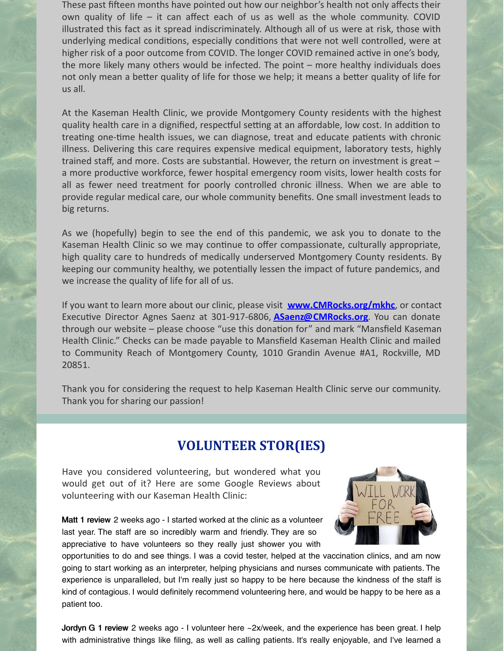These past fifteen months have pointed out how our neighbor's health not only affects their own quality of life – it can affect each of us as well as the whole community. COVID illustrated this fact as it spread indiscriminately. Although all of us were at risk, those with underlying medical conditions, especially conditions that were not well controlled, were at higher risk of a poor outcome from COVID. The longer COVID remained active in one's body, the more likely many others would be infected. The point – more healthy individuals does not only mean a better quality of life for those we help; it means a better quality of life for us all.

At the Kaseman Health Clinic, we provide Montgomery County residents with the highest quality health care in a dignified, respectful setting at an affordable, low cost. In addition to treating one-time health issues, we can diagnose, treat and educate patients with chronic illness. Delivering this care requires expensive medical equipment, laboratory tests, highly trained staff, and more. Costs are substantial. However, the return on investment is great  $$ a more productive workforce, fewer hospital emergency room visits, lower health costs for all as fewer need treatment for poorly controlled chronic illness. When we are able to provide regular medical care, our whole community benefits. One small investment leads to big returns.

As we (hopefully) begin to see the end of this pandemic, we ask you to donate to the Kaseman Health Clinic so we may continue to offer compassionate, culturally appropriate, high quality care to hundreds of medically underserved Montgomery County residents. By keeping our community healthy, we potentially lessen the impact of future pandemics, and we increase the quality of life for all of us.

If you want to learn more about our clinic, please visit **[www.CMRocks.org/mkhc](https://www.cmrocks.org/mkhc)**, or contact Executive Director Agnes Saenz at 301-917-6806, **[ASaenz@CMRocks.org](mailto:ASaenz@CMRocks.org)**. You can donate through our website – please choose "use this donation for" and mark "Mansfield Kaseman Health Clinic." Checks can be made payable to Mansfield Kaseman Health Clinic and mailed to Community Reach of Montgomery County, 1010 Grandin Avenue #A1, Rockville, MD 20851.

Thank you for considering the request to help Kaseman Health Clinic serve our community. Thank you for sharing our passion!

### **VOLUNTEER STOR(IES)**

Have you considered volunteering, but wondered what you would get out of it? Here are some Google Reviews about volunteering with our Kaseman Health Clinic:



[Matt](https://www.google.com/maps/contrib/113737285585810618270?hl=en-US&sa=X&ved=2ahUKEwimk7DbjbHxAhXZF1kFHQrRBU4QvvQBegQIARAf) 1 [review](https://www.google.com/maps/contrib/113737285585810618270?hl=en-US&sa=X&ved=2ahUKEwimk7DbjbHxAhXZF1kFHQrRBU4QvvQBegQIARAj) 2 weeks ago - I started worked at the clinic as a volunteer last year. The staff are so incredibly warm and friendly. They are so appreciative to have volunteers so they really just shower you with

opportunities to do and see things. I was a covid tester, helped at the vaccination clinics, and am now going to start working as an interpreter, helping physicians and nurses communicate with patients. The experience is unparalleled, but I'm really just so happy to be here because the kindness of the staff is kind of contagious. I would definitely recommend volunteering here, and would be happy to be here as a patient too.

[Jordyn](https://www.google.com/maps/contrib/116510481532092426125?hl=en-US&sa=X&ved=2ahUKEwimk7DbjbHxAhXZF1kFHQrRBU4QvvQBegQIARA4) G 1 [review](https://www.google.com/maps/contrib/116510481532092426125?hl=en-US&sa=X&ved=2ahUKEwimk7DbjbHxAhXZF1kFHQrRBU4QvvQBegQIARA8) 2 weeks ago - I volunteer here ~2x/week, and the experience has been great. I help with administrative things like filing, as well as calling patients. It's really enjoyable, and I've learned a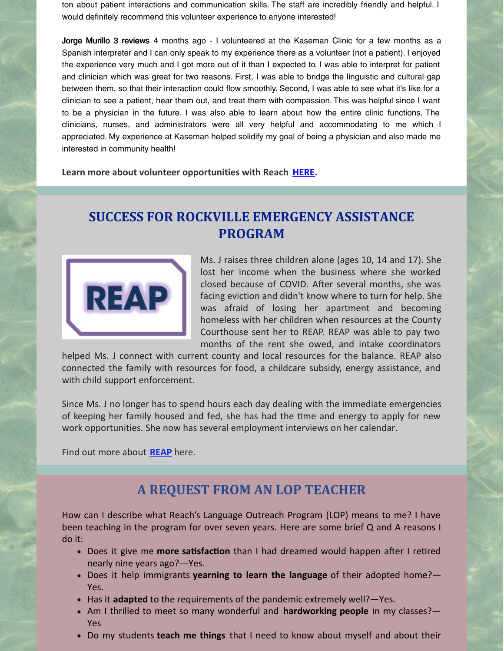ton about patient interactions and communication skills. The staff are incredibly friendly and helpful. I would definitely recommend this volunteer experience to anyone interested!

Jorge [Murillo](https://www.google.com/maps/contrib/101526978455605083992?hl=en-US&sa=X&ved=2ahUKEwimk7DbjbHxAhXZF1kFHQrRBU4QvvQBegQIARAs) 3 [reviews](https://www.google.com/maps/contrib/101526978455605083992?hl=en-US&sa=X&ved=2ahUKEwimk7DbjbHxAhXZF1kFHQrRBU4QvvQBegQIARAw) 4 months ago - I volunteered at the Kaseman Clinic for a few months as a Spanish interpreter and I can only speak to my experience there as a volunteer (not a patient). I enjoyed the experience very much and I got more out of it than I expected to. I was able to interpret for patient and clinician which was great for two reasons. First, I was able to bridge the linguistic and cultural gap between them, so that their interaction could flow smoothly. Second, I was able to see what it's like for a clinician to see a patient, hear them out, and treat them with compassion. This was helpful since I want to be a physician in the future. I was also able to learn about how the entire clinic functions. The clinicians, nurses, and administrators were all very helpful and accommodating to me which I appreciated. My experience at Kaseman helped solidify my goal of being a physician and also made me interested in community health!

**Learn more about volunteer opportunities with Reach [HERE](https://www.cmrocks.org/copy-of-volunteer).**

# **SUCCESS FOR ROCKVILLE EMERGENCY ASSISTANCE PROGRAM**



Ms. J raises three children alone (ages 10, 14 and 17). She lost her income when the business where she worked closed because of COVID. After several months, she was facing eviction and didn't know where to turn for help. She was afraid of losing her apartment and becoming homeless with her children when resources at the County Courthouse sent her to REAP. REAP was able to pay two months of the rent she owed, and intake coordinators

helped Ms. J connect with current county and local resources for the balance. REAP also connected the family with resources for food, a childcare subsidy, energy assistance, and with child support enforcement.

Since Ms. J no longer has to spend hours each day dealing with the immediate emergencies of keeping her family housed and fed, she has had the time and energy to apply for new work opportunities. She now has several employment interviews on her calendar.

Find out more about **[REAP](https://www.cmrocks.org/reap)** here.

### **A REQUEST FROM AN LOP TEACHER**

How can I describe what Reach's Language Outreach Program (LOP) means to me? I have been teaching in the program for over seven years. Here are some brief Q and A reasons I do it:

- Does it give me **more satisfaction** than I had dreamed would happen after I retired nearly nine years ago?---Yes.
- Does it help immigrants **yearning to learn the language** of their adopted home?— Yes.
- Has it **adapted** to the requirements of the pandemic extremely well?—Yes.
- Am I thrilled to meet so many wonderful and **hardworking people** in my classes?— Yes
- Do my students **teach me things** that I need to know about myself and about their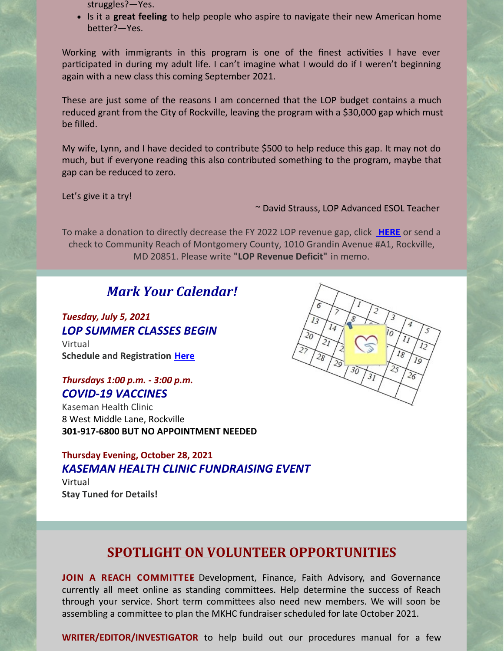- struggles?—Yes.
- Is it a **great feeling** to help people who aspire to navigate their new American home better?—Yes.

Working with immigrants in this program is one of the finest activities I have ever participated in during my adult life. I can't imagine what I would do if I weren't beginning again with a new class this coming September 2021.

These are just some of the reasons I am concerned that the LOP budget contains a much reduced grant from the City of Rockville, leaving the program with a \$30,000 gap which must be filled.

My wife, Lynn, and I have decided to contribute \$500 to help reduce this gap. It may not do much, but if everyone reading this also contributed something to the program, maybe that gap can be reduced to zero.

Let's give it a try!

~ David Strauss, LOP Advanced ESOL Teacher

To make a donation to directly decrease the FY 2022 LOP revenue gap, click **[HERE](https://www.paypal.com/donate?hosted_button_id=LA6PXZVKGDL88)** or send a check to Community Reach of Montgomery County, 1010 Grandin Avenue #A1, Rockville, MD 20851. Please write **"LOP Revenue Deficit"** in memo.

## *Mark Your Calendar!*

### *Tuesday, July 5, 2021 LOP SUMMER CLASSES BEGIN*

Virtual **Schedule and Registration [Here](https://www.cmrocks.org/lop)**

#### *Thursdays 1:00 p.m. - 3:00 p.m. COVID-19 VACCINES*

Kaseman Health Clinic 8 West Middle Lane, Rockville **301-917-6800 BUT NO APPOINTMENT NEEDED**

#### **Thursday Evening, October 28, 2021** *KASEMAN HEALTH CLINIC FUNDRAISING EVENT*

Virtual **Stay Tuned for Details!**



# **SPOTLIGHT ON VOLUNTEER OPPORTUNITIES**

**JOIN A REACH COMMITTEE**- Development, Finance, Faith Advisory, and Governance currently all meet online as standing committees. Help determine the success of Reach through your service. Short term committees also need new members. We will soon be assembling a committee to plan the MKHC fundraiser scheduled for late October 2021.

**WRITER/EDITOR/INVESTIGATOR** to help build out our procedures manual for a few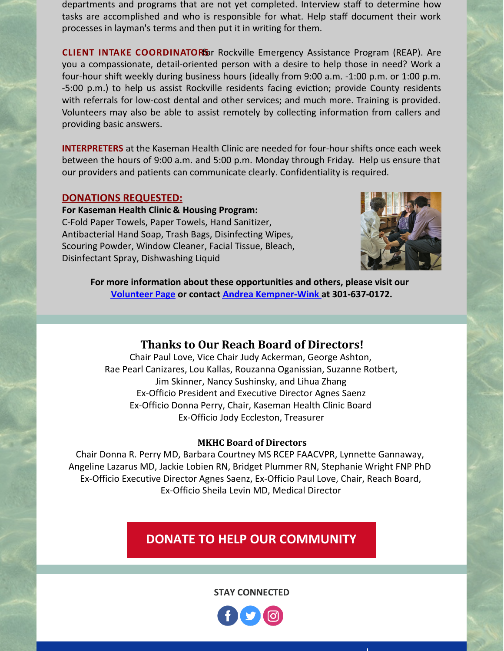departments and programs that are not yet completed. Interview staff to determine how tasks are accomplished and who is responsible for what. Help staff document their work processes in layman's terms and then put it in writing for them.

**CLIENT INTAKE COORDINATOR**f**S**or Rockville Emergency Assistance Program (REAP). Are you a compassionate, detail-oriented person with a desire to help those in need? Work a four-hour shift weekly during business hours (ideally from 9:00 a.m. -1:00 p.m. or 1:00 p.m. -5:00 p.m.) to help us assist Rockville residents facing eviction; provide County residents with referrals for low-cost dental and other services; and much more. Training is provided. Volunteers may also be able to assist remotely by collecting information from callers and providing basic answers.

**INTERPRETERS** at the Kaseman Health Clinic are needed for four-hour shifts once each week between the hours of 9:00 a.m. and 5:00 p.m. Monday through Friday. Help us ensure that our providers and patients can communicate clearly. Confidentiality is required.

#### **DONATIONS REQUESTED:**

**For Kaseman Health Clinic & Housing Program:** C-Fold Paper Towels, Paper Towels, Hand Sanitizer, Antibacterial Hand Soap, Trash Bags, Disinfecting Wipes, Scouring Powder, Window Cleaner, Facial Tissue, Bleach, Disinfectant Spray, Dishwashing Liquid



**For more information about these opportunities and others, please visit our [Volunteer](https://www.cmrocks.org/copy-of-volunteer) Page or contact Andrea [Kempner-Wink](mailto:andreakwink@cmrocks.org) at 301-637-0172.**

#### **Thanks to Our Reach Board of Directors!**

Chair Paul Love, Vice Chair Judy Ackerman, George Ashton, Rae Pearl Canizares, Lou Kallas, Rouzanna Oganissian, Suzanne Rotbert, Jim Skinner, Nancy Sushinsky, and Lihua Zhang Ex-Officio President and Executive Director Agnes Saenz Ex-Officio Donna Perry, Chair, Kaseman Health Clinic Board Ex-Officio Jody Eccleston, Treasurer

#### **MKHC Board of Directors**

Chair Donna R. Perry MD, Barbara Courtney MS RCEP FAACVPR, Lynnette Gannaway, Angeline Lazarus MD, Jackie Lobien RN, Bridget Plummer RN, Stephanie Wright FNP PhD Ex-Officio Executive Director Agnes Saenz, Ex-Officio Paul Love, Chair, Reach Board, Ex-Officio Sheila Levin MD, Medical Director

### **DONATE TO HELP OUR [COMMUNITY](https://www.paypal.com/donate?hosted_button_id=GKSTDCT7DMVJ4&source=url)**

**STAY CONNECTED**